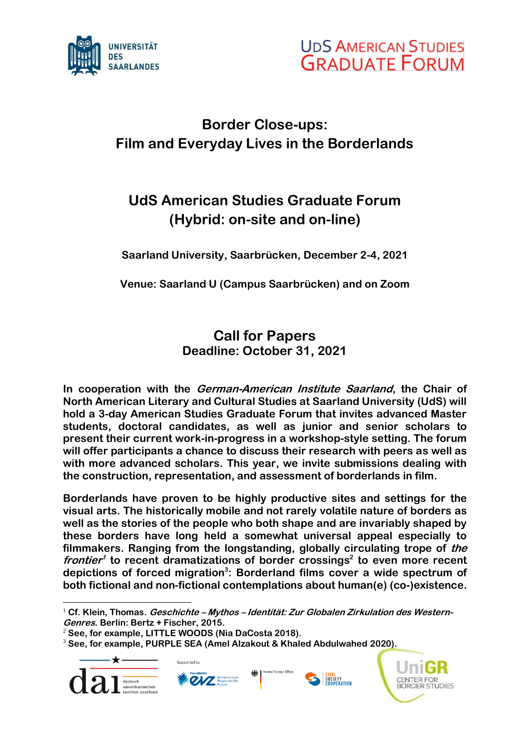



## **Border Close-ups: Film and Everyday Lives in the Borderlands**

## **UdS American Studies Graduate Forum (Hybrid: on-site and on-line)**

**Saarland University, Saarbrücken, December 2-4, 2021**

**Venue: Saarland U (Campus Saarbrücken) and on Zoom**

## **Call for Papers Deadline: October 31, 2021**

**In cooperation with the German-American Institute Saarland, the Chair of North American Literary and Cultural Studies at Saarland University (UdS) will hold a 3-day American Studies Graduate Forum that invites advanced Master students, doctoral candidates, as well as junior and senior scholars to present their current work-in-progress in a workshop-style setting. The forum will offer participants a chance to discuss their research with peers as well as with more advanced scholars. This year, we invite submissions dealing with the construction, representation, and assessment of borderlands in film.**

**Borderlands have proven to be highly productive sites and settings for the visual arts. The historically mobile and not rarely volatile nature of borders as well as the stories of the people who both shape and are invariably shaped by these borders have long held a somewhat universal appeal especially to filmmakers. Ranging from the longstanding, globally circulating trope of the**  frontier<sup>1</sup> to recent dramatizations of border crossings<sup>2</sup> to even more recent **depictions of forced migration<sup>3</sup> : Borderland films cover a wide spectrum of both fictional and non-fictional contemplations about human(e) (co-)existence.**

<sup>3</sup> **See, for example, PURPLE SEA (Amel Alzakout & Khaled Abdulwahed 2020).**





<sup>1</sup> **Cf. Klein, Thomas. Geschichte – Mythos – Identität: Zur Globalen Zirkulation des Western-Genres. Berlin: Bertz + Fischer, 2015.**

<sup>2</sup> **See, for example, LITTLE WOODS (Nia DaCosta 2018).**